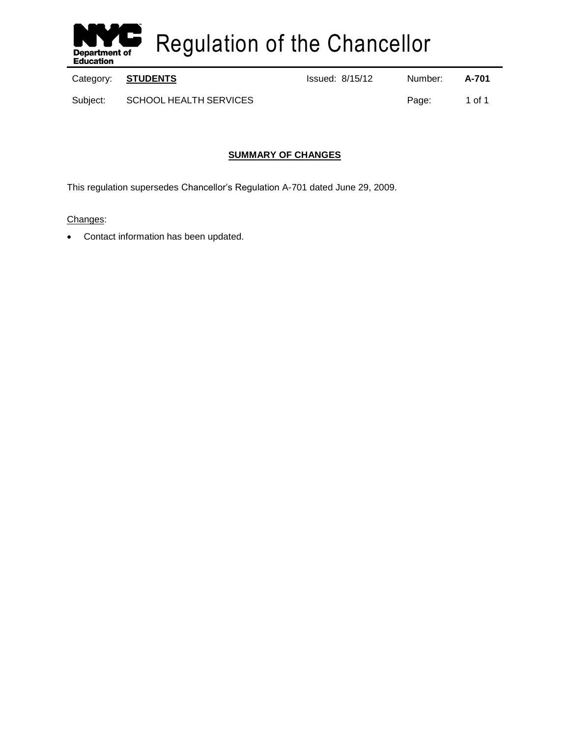

Regulation of the Chancellor

Category: **STUDENTS ISSUE 2018** Issued: 8/15/12 Number: **A-701** 

Subject: SCHOOL HEALTH SERVICES **Page:** 1 of 1

# **SUMMARY OF CHANGES**

This regulation supersedes Chancellor's Regulation A-701 dated June 29, 2009.

# Changes:

Contact information has been updated.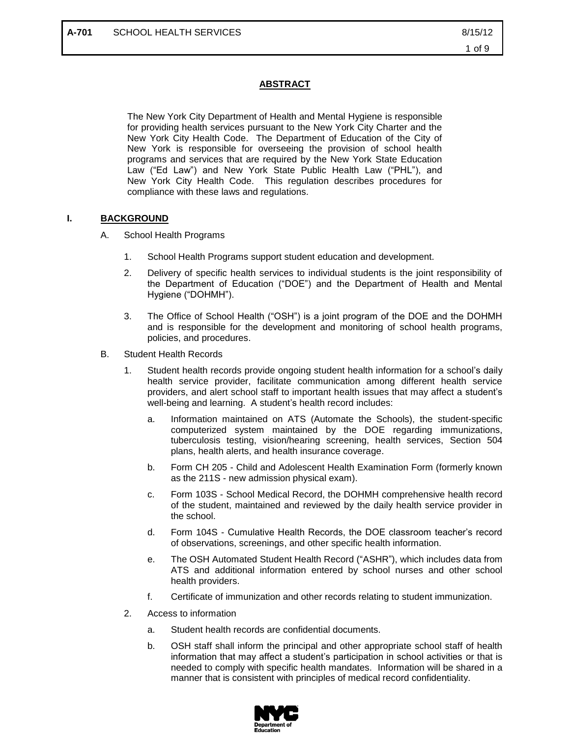# **ABSTRACT**

The New York City Department of Health and Mental Hygiene is responsible for providing health services pursuant to the New York City Charter and the New York City Health Code. The Department of Education of the City of New York is responsible for overseeing the provision of school health programs and services that are required by the New York State Education Law ("Ed Law") and New York State Public Health Law ("PHL"), and New York City Health Code. This regulation describes procedures for compliance with these laws and regulations.

#### **I. BACKGROUND**

- A. School Health Programs
	- 1. School Health Programs support student education and development.
	- 2. Delivery of specific health services to individual students is the joint responsibility of the Department of Education ("DOE") and the Department of Health and Mental Hygiene ("DOHMH").
	- 3. The Office of School Health ("OSH") is a joint program of the DOE and the DOHMH and is responsible for the development and monitoring of school health programs, policies, and procedures.
- B. Student Health Records
	- 1. Student health records provide ongoing student health information for a school's daily health service provider, facilitate communication among different health service providers, and alert school staff to important health issues that may affect a student's well-being and learning. A student's health record includes:
		- a. Information maintained on ATS (Automate the Schools), the student-specific computerized system maintained by the DOE regarding immunizations, tuberculosis testing, vision/hearing screening, health services, Section 504 plans, health alerts, and health insurance coverage.
		- b. Form CH 205 Child and Adolescent Health Examination Form (formerly known as the 211S - new admission physical exam).
		- c. Form 103S School Medical Record, the DOHMH comprehensive health record of the student, maintained and reviewed by the daily health service provider in the school.
		- d. Form 104S Cumulative Health Records, the DOE classroom teacher's record of observations, screenings, and other specific health information.
		- e. The OSH Automated Student Health Record ("ASHR"), which includes data from ATS and additional information entered by school nurses and other school health providers.
		- f. Certificate of immunization and other records relating to student immunization.
	- 2. Access to information
		- a. Student health records are confidential documents.
		- b. OSH staff shall inform the principal and other appropriate school staff of health information that may affect a student's participation in school activities or that is needed to comply with specific health mandates. Information will be shared in a manner that is consistent with principles of medical record confidentiality.

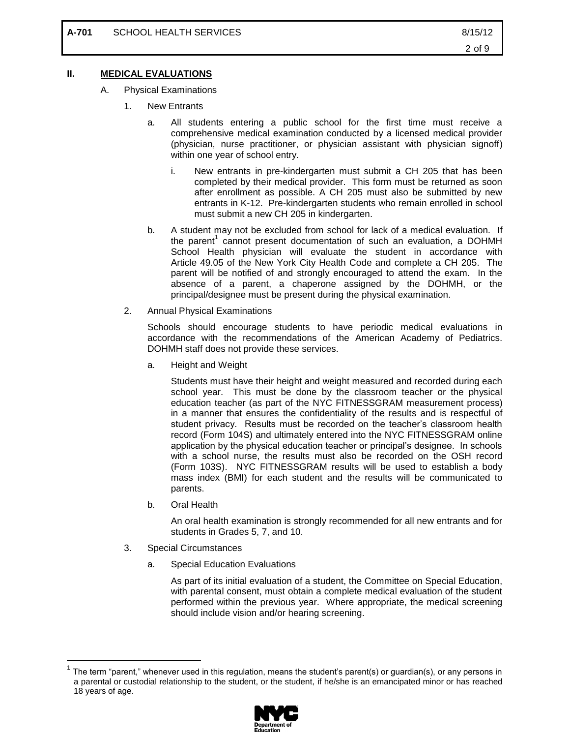#### **II. MEDICAL EVALUATIONS**

- A. Physical Examinations
	- 1. New Entrants
		- a. All students entering a public school for the first time must receive a comprehensive medical examination conducted by a licensed medical provider (physician, nurse practitioner, or physician assistant with physician signoff) within one year of school entry.
			- i. New entrants in pre-kindergarten must submit a CH 205 that has been completed by their medical provider. This form must be returned as soon after enrollment as possible. A CH 205 must also be submitted by new entrants in K-12. Pre-kindergarten students who remain enrolled in school must submit a new CH 205 in kindergarten.
		- b. A student may not be excluded from school for lack of a medical evaluation. If the parent<sup>1</sup> cannot present documentation of such an evaluation, a DOHMH School Health physician will evaluate the student in accordance with Article 49.05 of the New York City Health Code and complete a CH 205. The parent will be notified of and strongly encouraged to attend the exam. In the absence of a parent, a chaperone assigned by the DOHMH, or the principal/designee must be present during the physical examination.
	- 2. Annual Physical Examinations

Schools should encourage students to have periodic medical evaluations in accordance with the recommendations of the American Academy of Pediatrics. DOHMH staff does not provide these services.

a. Height and Weight

Students must have their height and weight measured and recorded during each school year. This must be done by the classroom teacher or the physical education teacher (as part of the NYC FITNESSGRAM measurement process) in a manner that ensures the confidentiality of the results and is respectful of student privacy. Results must be recorded on the teacher's classroom health record (Form 104S) and ultimately entered into the NYC FITNESSGRAM online application by the physical education teacher or principal's designee. In schools with a school nurse, the results must also be recorded on the OSH record (Form 103S). NYC FITNESSGRAM results will be used to establish a body mass index (BMI) for each student and the results will be communicated to parents.

b. Oral Health

An oral health examination is strongly recommended for all new entrants and for students in Grades 5, 7, and 10.

3. Special Circumstances

 $\overline{a}$ 

a. Special Education Evaluations

As part of its initial evaluation of a student, the Committee on Special Education, with parental consent, must obtain a complete medical evaluation of the student performed within the previous year. Where appropriate, the medical screening should include vision and/or hearing screening.

<sup>1</sup> The term "parent," whenever used in this regulation, means the student's parent(s) or guardian(s), or any persons in a parental or custodial relationship to the student, or the student, if he/she is an emancipated minor or has reached 18 years of age.

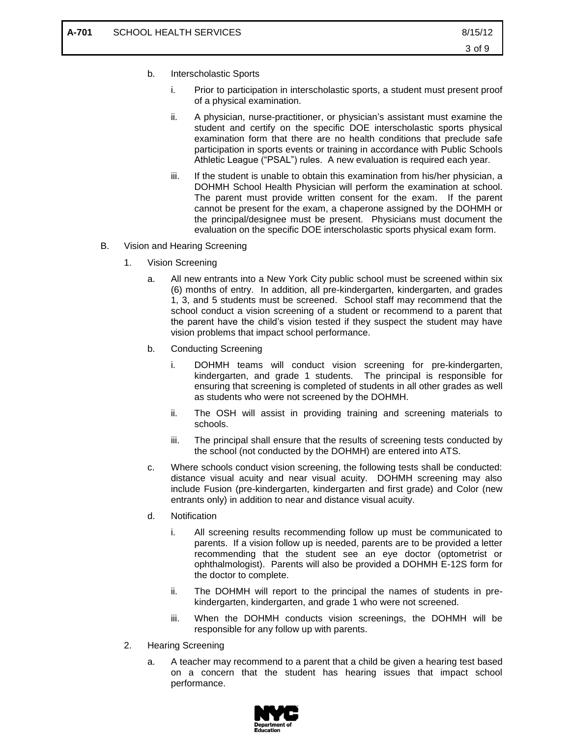- b. Interscholastic Sports
	- i. Prior to participation in interscholastic sports, a student must present proof of a physical examination.
	- ii. A physician, nurse-practitioner, or physician's assistant must examine the student and certify on the specific DOE interscholastic sports physical examination form that there are no health conditions that preclude safe participation in sports events or training in accordance with Public Schools Athletic League ("PSAL") rules. A new evaluation is required each year.
	- iii. If the student is unable to obtain this examination from his/her physician, a DOHMH School Health Physician will perform the examination at school. The parent must provide written consent for the exam. If the parent cannot be present for the exam, a chaperone assigned by the DOHMH or the principal/designee must be present. Physicians must document the evaluation on the specific DOE interscholastic sports physical exam form.
- B. Vision and Hearing Screening
	- 1. Vision Screening
		- a. All new entrants into a New York City public school must be screened within six (6) months of entry. In addition, all pre-kindergarten, kindergarten, and grades 1, 3, and 5 students must be screened. School staff may recommend that the school conduct a vision screening of a student or recommend to a parent that the parent have the child's vision tested if they suspect the student may have vision problems that impact school performance.
		- b. Conducting Screening
			- i. DOHMH teams will conduct vision screening for pre-kindergarten, kindergarten, and grade 1 students. The principal is responsible for ensuring that screening is completed of students in all other grades as well as students who were not screened by the DOHMH.
			- ii. The OSH will assist in providing training and screening materials to schools.
			- iii. The principal shall ensure that the results of screening tests conducted by the school (not conducted by the DOHMH) are entered into ATS.
		- c. Where schools conduct vision screening, the following tests shall be conducted: distance visual acuity and near visual acuity. DOHMH screening may also include Fusion (pre-kindergarten, kindergarten and first grade) and Color (new entrants only) in addition to near and distance visual acuity.
		- d. Notification
			- i. All screening results recommending follow up must be communicated to parents. If a vision follow up is needed, parents are to be provided a letter recommending that the student see an eye doctor (optometrist or ophthalmologist). Parents will also be provided a DOHMH E-12S form for the doctor to complete.
			- ii. The DOHMH will report to the principal the names of students in prekindergarten, kindergarten, and grade 1 who were not screened.
			- iii. When the DOHMH conducts vision screenings, the DOHMH will be responsible for any follow up with parents.
	- 2. Hearing Screening
		- a. A teacher may recommend to a parent that a child be given a hearing test based on a concern that the student has hearing issues that impact school performance.

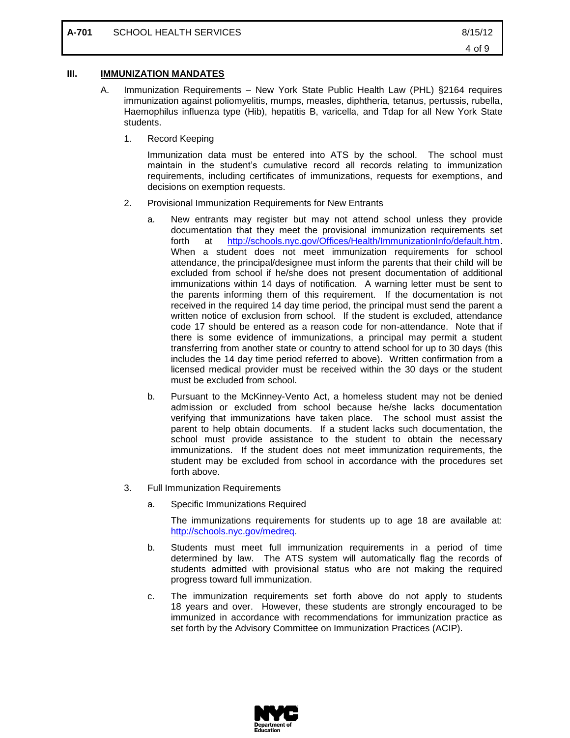#### **III. IMMUNIZATION MANDATES**

- A. Immunization Requirements New York State Public Health Law (PHL) §2164 requires immunization against poliomyelitis, mumps, measles, diphtheria, tetanus, pertussis, rubella, Haemophilus influenza type (Hib), hepatitis B, varicella, and Tdap for all New York State students.
	- 1. Record Keeping

Immunization data must be entered into ATS by the school. The school must maintain in the student's cumulative record all records relating to immunization requirements, including certificates of immunizations, requests for exemptions, and decisions on exemption requests.

- 2. Provisional Immunization Requirements for New Entrants
	- a. New entrants may register but may not attend school unless they provide documentation that they meet the provisional immunization requirements set forth at [http://schools.nyc.gov/Offices/Health/ImmunizationInfo/default.htm.](http://schools.nyc.gov/Offices/Health/ImmunizationInfo/default.htm) When a student does not meet immunization requirements for school attendance, the principal/designee must inform the parents that their child will be excluded from school if he/she does not present documentation of additional immunizations within 14 days of notification. A warning letter must be sent to the parents informing them of this requirement. If the documentation is not received in the required 14 day time period, the principal must send the parent a written notice of exclusion from school. If the student is excluded, attendance code 17 should be entered as a reason code for non-attendance. Note that if there is some evidence of immunizations, a principal may permit a student transferring from another state or country to attend school for up to 30 days (this includes the 14 day time period referred to above). Written confirmation from a licensed medical provider must be received within the 30 days or the student must be excluded from school.
	- b. Pursuant to the McKinney-Vento Act, a homeless student may not be denied admission or excluded from school because he/she lacks documentation verifying that immunizations have taken place. The school must assist the parent to help obtain documents. If a student lacks such documentation, the school must provide assistance to the student to obtain the necessary immunizations. If the student does not meet immunization requirements, the student may be excluded from school in accordance with the procedures set forth above.
- 3. Full Immunization Requirements
	- a. Specific Immunizations Required

The immunizations requirements for students up to age 18 are available at: [http://schools.nyc.gov/medreq.](http://schools.nyc.gov/medreq)

- b. Students must meet full immunization requirements in a period of time determined by law. The ATS system will automatically flag the records of students admitted with provisional status who are not making the required progress toward full immunization.
- c. The immunization requirements set forth above do not apply to students 18 years and over. However, these students are strongly encouraged to be immunized in accordance with recommendations for immunization practice as set forth by the Advisory Committee on Immunization Practices (ACIP).

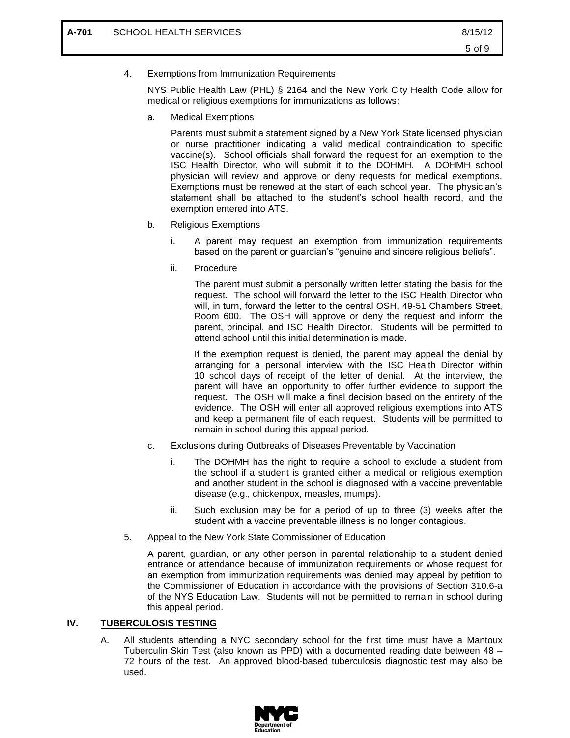4. Exemptions from Immunization Requirements

NYS Public Health Law (PHL) § 2164 and the New York City Health Code allow for medical or religious exemptions for immunizations as follows:

a. Medical Exemptions

Parents must submit a statement signed by a New York State licensed physician or nurse practitioner indicating a valid medical contraindication to specific vaccine(s). School officials shall forward the request for an exemption to the ISC Health Director, who will submit it to the DOHMH. A DOHMH school physician will review and approve or deny requests for medical exemptions. Exemptions must be renewed at the start of each school year. The physician's statement shall be attached to the student's school health record, and the exemption entered into ATS.

- b. Religious Exemptions
	- i. A parent may request an exemption from immunization requirements based on the parent or guardian's "genuine and sincere religious beliefs".
	- ii. Procedure

The parent must submit a personally written letter stating the basis for the request. The school will forward the letter to the ISC Health Director who will, in turn, forward the letter to the central OSH, 49-51 Chambers Street, Room 600. The OSH will approve or deny the request and inform the parent, principal, and ISC Health Director. Students will be permitted to attend school until this initial determination is made.

If the exemption request is denied, the parent may appeal the denial by arranging for a personal interview with the ISC Health Director within 10 school days of receipt of the letter of denial. At the interview, the parent will have an opportunity to offer further evidence to support the request. The OSH will make a final decision based on the entirety of the evidence. The OSH will enter all approved religious exemptions into ATS and keep a permanent file of each request. Students will be permitted to remain in school during this appeal period.

- c. Exclusions during Outbreaks of Diseases Preventable by Vaccination
	- i. The DOHMH has the right to require a school to exclude a student from the school if a student is granted either a medical or religious exemption and another student in the school is diagnosed with a vaccine preventable disease (e.g., chickenpox, measles, mumps).
	- ii. Such exclusion may be for a period of up to three (3) weeks after the student with a vaccine preventable illness is no longer contagious.
- 5. Appeal to the New York State Commissioner of Education

A parent, guardian, or any other person in parental relationship to a student denied entrance or attendance because of immunization requirements or whose request for an exemption from immunization requirements was denied may appeal by petition to the Commissioner of Education in accordance with the provisions of Section 310.6-a of the NYS Education Law. Students will not be permitted to remain in school during this appeal period.

## **IV. TUBERCULOSIS TESTING**

A. All students attending a NYC secondary school for the first time must have a Mantoux Tuberculin Skin Test (also known as PPD) with a documented reading date between 48 – 72 hours of the test. An approved blood-based tuberculosis diagnostic test may also be used.

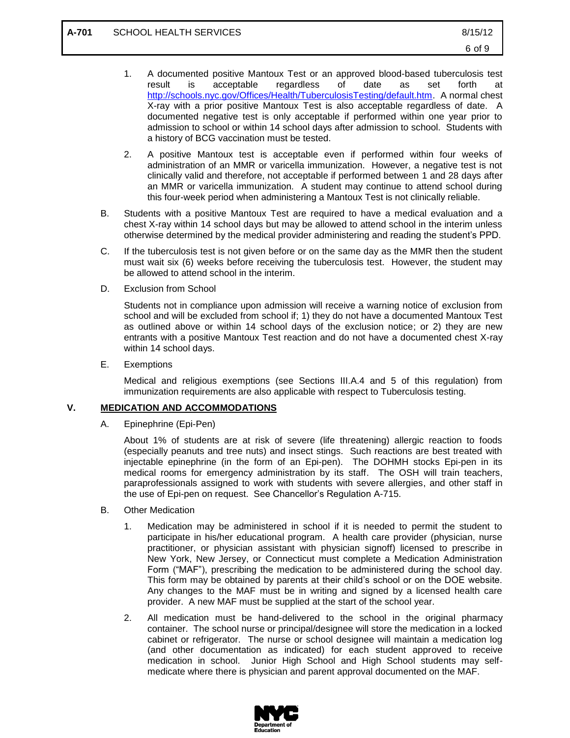- 1. A documented positive Mantoux Test or an approved blood-based tuberculosis test result is acceptable regardless of date as set forth at [http://schools.nyc.gov/Offices/Health/TuberculosisTesting/default.htm.](http://schools.nyc.gov/Offices/Health/TuberculosisTesting/default.htm) A normal chest X-ray with a prior positive Mantoux Test is also acceptable regardless of date. A documented negative test is only acceptable if performed within one year prior to admission to school or within 14 school days after admission to school. Students with a history of BCG vaccination must be tested.
- 2. A positive Mantoux test is acceptable even if performed within four weeks of administration of an MMR or varicella immunization. However, a negative test is not clinically valid and therefore, not acceptable if performed between 1 and 28 days after an MMR or varicella immunization. A student may continue to attend school during this four-week period when administering a Mantoux Test is not clinically reliable.
- B. Students with a positive Mantoux Test are required to have a medical evaluation and a chest X-ray within 14 school days but may be allowed to attend school in the interim unless otherwise determined by the medical provider administering and reading the student's PPD.
- C. If the tuberculosis test is not given before or on the same day as the MMR then the student must wait six (6) weeks before receiving the tuberculosis test. However, the student may be allowed to attend school in the interim.
- D. Exclusion from School

Students not in compliance upon admission will receive a warning notice of exclusion from school and will be excluded from school if; 1) they do not have a documented Mantoux Test as outlined above or within 14 school days of the exclusion notice; or 2) they are new entrants with a positive Mantoux Test reaction and do not have a documented chest X-ray within 14 school days.

E. Exemptions

Medical and religious exemptions (see Sections III.A.4 and 5 of this regulation) from immunization requirements are also applicable with respect to Tuberculosis testing.

## **V. MEDICATION AND ACCOMMODATIONS**

A. Epinephrine (Epi-Pen)

About 1% of students are at risk of severe (life threatening) allergic reaction to foods (especially peanuts and tree nuts) and insect stings. Such reactions are best treated with injectable epinephrine (in the form of an Epi-pen). The DOHMH stocks Epi-pen in its medical rooms for emergency administration by its staff. The OSH will train teachers, paraprofessionals assigned to work with students with severe allergies, and other staff in the use of Epi-pen on request. See Chancellor's Regulation A-715.

- B. Other Medication
	- 1. Medication may be administered in school if it is needed to permit the student to participate in his/her educational program. A health care provider (physician, nurse practitioner, or physician assistant with physician signoff) licensed to prescribe in New York, New Jersey, or Connecticut must complete a Medication Administration Form ("MAF"), prescribing the medication to be administered during the school day. This form may be obtained by parents at their child's school or on the DOE website. Any changes to the MAF must be in writing and signed by a licensed health care provider. A new MAF must be supplied at the start of the school year.
	- 2. All medication must be hand-delivered to the school in the original pharmacy container. The school nurse or principal/designee will store the medication in a locked cabinet or refrigerator. The nurse or school designee will maintain a medication log (and other documentation as indicated) for each student approved to receive medication in school. Junior High School and High School students may selfmedicate where there is physician and parent approval documented on the MAF.

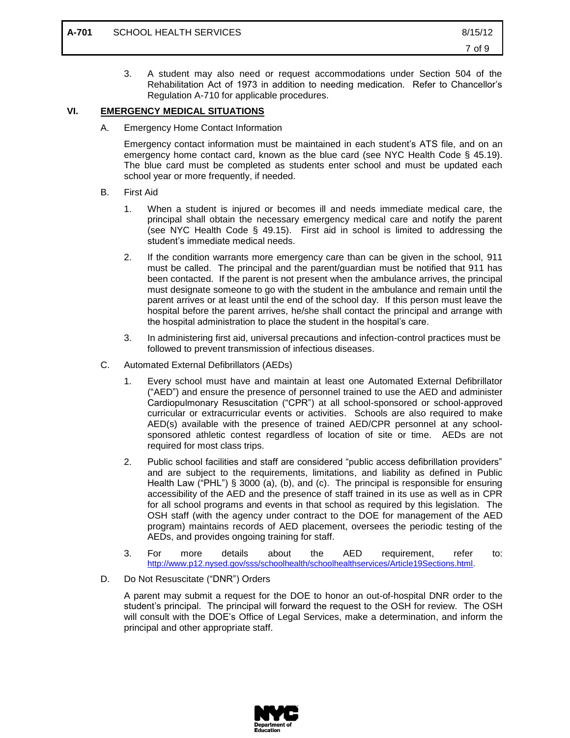3. A student may also need or request accommodations under Section 504 of the Rehabilitation Act of 1973 in addition to needing medication. Refer to Chancellor's Regulation A-710 for applicable procedures.

## **VI. EMERGENCY MEDICAL SITUATIONS**

A. Emergency Home Contact Information

Emergency contact information must be maintained in each student's ATS file, and on an emergency home contact card, known as the blue card (see NYC Health Code § 45.19). The blue card must be completed as students enter school and must be updated each school year or more frequently, if needed.

- B. First Aid
	- 1. When a student is injured or becomes ill and needs immediate medical care, the principal shall obtain the necessary emergency medical care and notify the parent (see NYC Health Code § 49.15). First aid in school is limited to addressing the student's immediate medical needs.
	- 2. If the condition warrants more emergency care than can be given in the school, 911 must be called. The principal and the parent/guardian must be notified that 911 has been contacted. If the parent is not present when the ambulance arrives, the principal must designate someone to go with the student in the ambulance and remain until the parent arrives or at least until the end of the school day. If this person must leave the hospital before the parent arrives, he/she shall contact the principal and arrange with the hospital administration to place the student in the hospital's care.
	- 3. In administering first aid, universal precautions and infection-control practices must be followed to prevent transmission of infectious diseases.
- C. Automated External Defibrillators (AEDs)
	- 1. Every school must have and maintain at least one Automated External Defibrillator ("AED") and ensure the presence of personnel trained to use the AED and administer Cardiopulmonary Resuscitation ("CPR") at all school-sponsored or school-approved curricular or extracurricular events or activities. Schools are also required to make AED(s) available with the presence of trained AED/CPR personnel at any schoolsponsored athletic contest regardless of location of site or time. AEDs are not required for most class trips.
	- 2. Public school facilities and staff are considered "public access defibrillation providers" and are subject to the requirements, limitations, and liability as defined in Public Health Law ("PHL") § 3000 (a), (b), and (c). The principal is responsible for ensuring accessibility of the AED and the presence of staff trained in its use as well as in CPR for all school programs and events in that school as required by this legislation. The OSH staff (with the agency under contract to the DOE for management of the AED program) maintains records of AED placement, oversees the periodic testing of the AEDs, and provides ongoing training for staff.
	- 3. For more details about the AED requirement, refer to: [http://www.p12.nysed.gov/sss/schoolhealth/schoolhealthservices/Article19Sections.html.](http://www.p12.nysed.gov/sss/schoolhealth/schoolhealthservices/Article19Sections.html)
- D. Do Not Resuscitate ("DNR") Orders

A parent may submit a request for the DOE to honor an out-of-hospital DNR order to the student's principal. The principal will forward the request to the OSH for review. The OSH will consult with the DOE's Office of Legal Services, make a determination, and inform the principal and other appropriate staff.

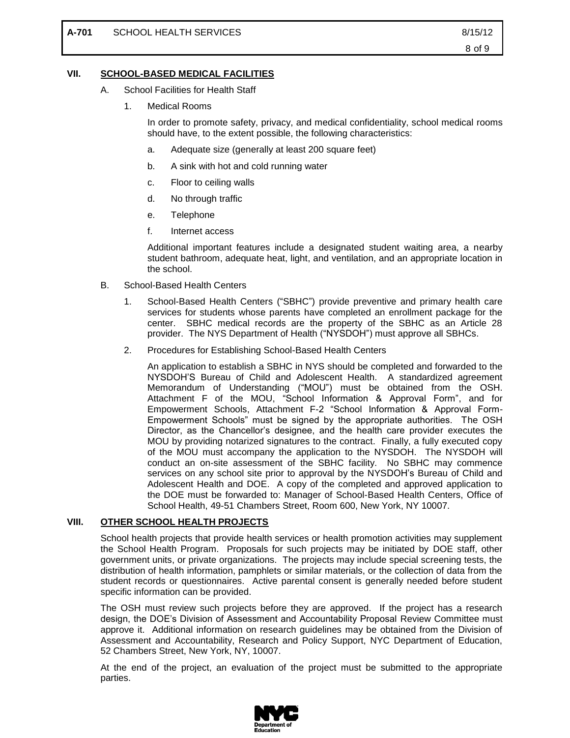#### **VII. SCHOOL-BASED MEDICAL FACILITIES**

- A. School Facilities for Health Staff
	- 1. Medical Rooms

In order to promote safety, privacy, and medical confidentiality, school medical rooms should have, to the extent possible, the following characteristics:

- a. Adequate size (generally at least 200 square feet)
- b. A sink with hot and cold running water
- c. Floor to ceiling walls
- d. No through traffic
- e. Telephone
- f. Internet access

Additional important features include a designated student waiting area, a nearby student bathroom, adequate heat, light, and ventilation, and an appropriate location in the school.

- B. School-Based Health Centers
	- 1. School-Based Health Centers ("SBHC") provide preventive and primary health care services for students whose parents have completed an enrollment package for the center. SBHC medical records are the property of the SBHC as an Article 28 provider. The NYS Department of Health ("NYSDOH") must approve all SBHCs.
	- 2. Procedures for Establishing School-Based Health Centers

An application to establish a SBHC in NYS should be completed and forwarded to the NYSDOH'S Bureau of Child and Adolescent Health. A standardized agreement Memorandum of Understanding ("MOU") must be obtained from the OSH. Attachment F of the MOU, "School Information & Approval Form", and for Empowerment Schools, Attachment F-2 "School Information & Approval Form-Empowerment Schools" must be signed by the appropriate authorities. The OSH Director, as the Chancellor's designee, and the health care provider executes the MOU by providing notarized signatures to the contract. Finally, a fully executed copy of the MOU must accompany the application to the NYSDOH. The NYSDOH will conduct an on-site assessment of the SBHC facility. No SBHC may commence services on any school site prior to approval by the NYSDOH's Bureau of Child and Adolescent Health and DOE. A copy of the completed and approved application to the DOE must be forwarded to: Manager of School-Based Health Centers, Office of School Health, 49-51 Chambers Street, Room 600, New York, NY 10007.

#### **VIII. OTHER SCHOOL HEALTH PROJECTS**

School health projects that provide health services or health promotion activities may supplement the School Health Program. Proposals for such projects may be initiated by DOE staff, other government units, or private organizations. The projects may include special screening tests, the distribution of health information, pamphlets or similar materials, or the collection of data from the student records or questionnaires. Active parental consent is generally needed before student specific information can be provided.

The OSH must review such projects before they are approved. If the project has a research design, the DOE's Division of Assessment and Accountability Proposal Review Committee must approve it. Additional information on research guidelines may be obtained from the Division of Assessment and Accountability, Research and Policy Support, NYC Department of Education, 52 Chambers Street, New York, NY, 10007.

At the end of the project, an evaluation of the project must be submitted to the appropriate parties.